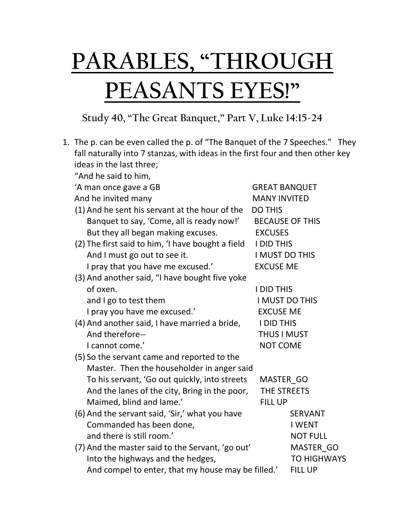## **PARABLES, "THROUGH PEASANTS EYES!"**

## **Study 40, "The Great Banquet," Part V, Luke 14:15-24**

| 1. The p. can be even called the p. of "The Banquet of the 7 Speeches." They   |                                                            |                        |  |  |
|--------------------------------------------------------------------------------|------------------------------------------------------------|------------------------|--|--|
| fall naturally into 7 stanzas, with ideas in the first four and then other key |                                                            |                        |  |  |
| ideas in the last three;                                                       |                                                            |                        |  |  |
| "And he said to him,                                                           |                                                            |                        |  |  |
| 'A man once gave a GB                                                          | <b>GREAT BANQUET</b>                                       |                        |  |  |
| And he invited many                                                            | <b>MANY INVITED</b>                                        |                        |  |  |
| (1) And he sent his servant at the hour of the                                 | <b>DO THIS</b>                                             |                        |  |  |
| Banquet to say, 'Come, all is ready now!'                                      |                                                            | <b>BECAUSE OF THIS</b> |  |  |
| But they all began making excuses.                                             | <b>EXCUSES</b>                                             |                        |  |  |
| (2) The first said to him, 'I have bought a field                              | <b>I DID THIS</b>                                          |                        |  |  |
| And I must go out to see it.                                                   | I MUST DO THIS                                             |                        |  |  |
| I pray that you have me excused.'                                              | <b>EXCUSE ME</b>                                           |                        |  |  |
| (3) And another said, "I have bought five yoke                                 |                                                            |                        |  |  |
| of oxen.                                                                       | <b>I DID THIS</b>                                          |                        |  |  |
| and I go to test them                                                          | <b>I MUST DO THIS</b>                                      |                        |  |  |
| I pray you have me excused.'                                                   | <b>EXCUSE ME</b>                                           |                        |  |  |
| (4) And another said, I have married a bride,                                  | <b>I DID THIS</b><br><b>THUS I MUST</b><br><b>NOT COME</b> |                        |  |  |
| And therefore--                                                                |                                                            |                        |  |  |
| I cannot come.'                                                                |                                                            |                        |  |  |
| (5) So the servant came and reported to the                                    |                                                            |                        |  |  |
| Master. Then the householder in anger said                                     |                                                            |                        |  |  |
| To his servant, 'Go out quickly, into streets                                  | MASTER GO                                                  |                        |  |  |
| And the lanes of the city, Bring in the poor,                                  | THE STREETS                                                |                        |  |  |
| Maimed, blind and lame.'<br><b>FILL UP</b>                                     |                                                            |                        |  |  |
| (6) And the servant said, 'Sir,' what you have                                 |                                                            | <b>SERVANT</b>         |  |  |
| Commanded has been done,                                                       |                                                            | <b>I WENT</b>          |  |  |
| and there is still room.'                                                      |                                                            | <b>NOT FULL</b>        |  |  |
| (7) And the master said to the Servant, 'go out'                               |                                                            | MASTER GO              |  |  |
| Into the highways and the hedges,                                              |                                                            | <b>TO HIGHWAYS</b>     |  |  |
| And compel to enter, that my house may be filled.'                             |                                                            | <b>FILL UP</b>         |  |  |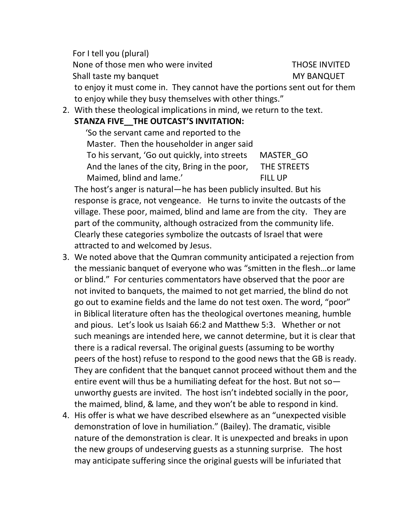For I tell you (plural) None of those men who were invited THOSE INVITED Shall taste my banquet MY BANQUET to enjoy it must come in. They cannot have the portions sent out for them to enjoy while they busy themselves with other things."

2. With these theological implications in mind, we return to the text.

## **STANZA FIVE\_\_THE OUTCAST'S INVITATION:**

 'So the servant came and reported to the Master. Then the householder in anger said To his servant, 'Go out quickly, into streets MASTER\_GO And the lanes of the city, Bring in the poor, THE STREETS Maimed, blind and lame.' FILL UP

The host's anger is natural—he has been publicly insulted. But his response is grace, not vengeance. He turns to invite the outcasts of the village. These poor, maimed, blind and lame are from the city. They are part of the community, although ostracized from the community life. Clearly these categories symbolize the outcasts of Israel that were attracted to and welcomed by Jesus.

- 3. We noted above that the Qumran community anticipated a rejection from the messianic banquet of everyone who was "smitten in the flesh…or lame or blind." For centuries commentators have observed that the poor are not invited to banquets, the maimed to not get married, the blind do not go out to examine fields and the lame do not test oxen. The word, "poor" in Biblical literature often has the theological overtones meaning, humble and pious. Let's look us Isaiah 66:2 and Matthew 5:3. Whether or not such meanings are intended here, we cannot determine, but it is clear that there is a radical reversal. The original guests (assuming to be worthy peers of the host) refuse to respond to the good news that the GB is ready. They are confident that the banquet cannot proceed without them and the entire event will thus be a humiliating defeat for the host. But not so unworthy guests are invited. The host isn't indebted socially in the poor, the maimed, blind, & lame, and they won't be able to respond in kind.
- 4. His offer is what we have described elsewhere as an "unexpected visible demonstration of love in humiliation." (Bailey). The dramatic, visible nature of the demonstration is clear. It is unexpected and breaks in upon the new groups of undeserving guests as a stunning surprise. The host may anticipate suffering since the original guests will be infuriated that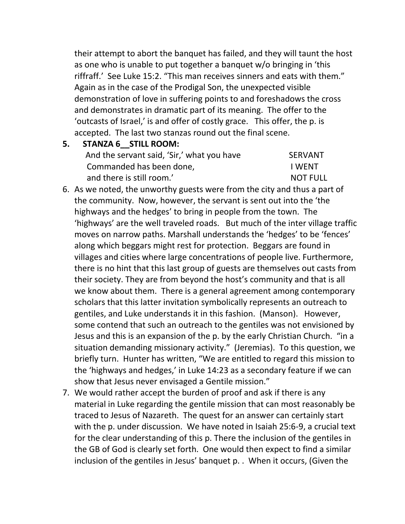their attempt to abort the banquet has failed, and they will taunt the host as one who is unable to put together a banquet w/o bringing in 'this riffraff.' See Luke 15:2. "This man receives sinners and eats with them." Again as in the case of the Prodigal Son, the unexpected visible demonstration of love in suffering points to and foreshadows the cross and demonstrates in dramatic part of its meaning. The offer to the 'outcasts of Israel,' is and offer of costly grace. This offer, the p. is accepted. The last two stanzas round out the final scene.

**5. STANZA 6\_\_STILL ROOM:** 

| And the servant said, 'Sir,' what you have | <b>SERVANT</b>  |
|--------------------------------------------|-----------------|
| Commanded has been done,                   | I WFNT          |
| and there is still room.'                  | <b>NOT FULL</b> |

- 6. As we noted, the unworthy guests were from the city and thus a part of the community. Now, however, the servant is sent out into the 'the highways and the hedges' to bring in people from the town. The 'highways' are the well traveled roads. But much of the inter village traffic moves on narrow paths. Marshall understands the 'hedges' to be 'fences' along which beggars might rest for protection. Beggars are found in villages and cities where large concentrations of people live. Furthermore, there is no hint that this last group of guests are themselves out casts from their society. They are from beyond the host's community and that is all we know about them. There is a general agreement among contemporary scholars that this latter invitation symbolically represents an outreach to gentiles, and Luke understands it in this fashion. (Manson). However, some contend that such an outreach to the gentiles was not envisioned by Jesus and this is an expansion of the p. by the early Christian Church. "in a situation demanding missionary activity." (Jeremias). To this question, we briefly turn. Hunter has written, "We are entitled to regard this mission to the 'highways and hedges,' in Luke 14:23 as a secondary feature if we can show that Jesus never envisaged a Gentile mission."
- 7. We would rather accept the burden of proof and ask if there is any material in Luke regarding the gentile mission that can most reasonably be traced to Jesus of Nazareth. The quest for an answer can certainly start with the p. under discussion. We have noted in Isaiah 25:6-9, a crucial text for the clear understanding of this p. There the inclusion of the gentiles in the GB of God is clearly set forth. One would then expect to find a similar inclusion of the gentiles in Jesus' banquet p. . When it occurs, (Given the